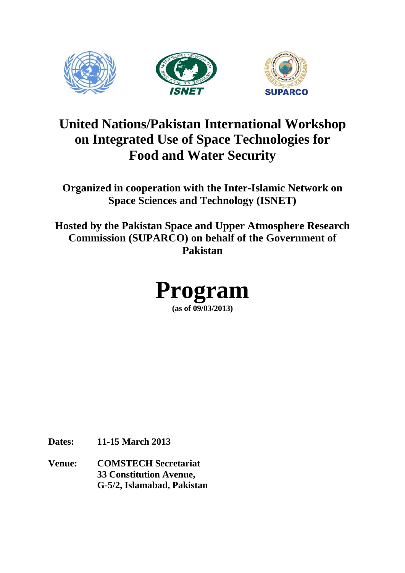

# **United Nations/Pakistan International Workshop on Integrated Use of Space Technologies for Food and Water Security**

**Organized in cooperation with the Inter-Islamic Network on Space Sciences and Technology (ISNET)**

**Hosted by the Pakistan Space and Upper Atmosphere Research Commission (SUPARCO) on behalf of the Government of Pakistan**



**Dates: 11-15 March 2013**

**Venue: COMSTECH Secretariat 33 Constitution Avenue, G-5/2, Islamabad, Pakistan**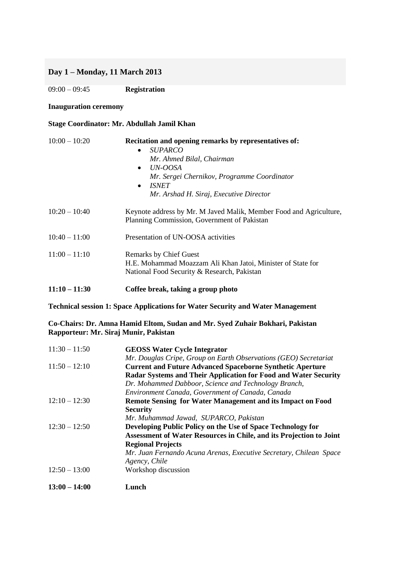# **Day 1 – Monday, 11 March 2013**

09:00 – 09:45 **Registration**

#### **Inauguration ceremony**

## **Stage Coordinator: Mr. Abdullah Jamil Khan**

| $10:00 - 10:20$ | Recitation and opening remarks by representatives of:<br><i>SUPARCO</i><br>$\bullet$<br>Mr. Ahmed Bilal, Chairman<br>UN-OOSA<br>$\bullet$<br>Mr. Sergei Chernikov, Programme Coordinator<br><i><b>ISNET</b></i><br>$\bullet$<br>Mr. Arshad H. Siraj, Executive Director |  |
|-----------------|-------------------------------------------------------------------------------------------------------------------------------------------------------------------------------------------------------------------------------------------------------------------------|--|
| $10:20 - 10:40$ | Keynote address by Mr. M Javed Malik, Member Food and Agriculture,<br>Planning Commission, Government of Pakistan                                                                                                                                                       |  |
| $10:40 - 11:00$ | Presentation of UN-OOSA activities                                                                                                                                                                                                                                      |  |
| $11:00 - 11:10$ | <b>Remarks by Chief Guest</b><br>H.E. Mohammad Moazzam Ali Khan Jatoi, Minister of State for<br>National Food Security & Research, Pakistan                                                                                                                             |  |
| $11:10 - 11:30$ | Coffee break, taking a group photo                                                                                                                                                                                                                                      |  |

**Technical session 1: Space Applications for Water Security and Water Management**

**Co-Chairs: Dr. Amna Hamid Eltom, Sudan and Mr. Syed Zuhair Bokhari, Pakistan Rapporteur: Mr. Siraj Munir, Pakistan**

| $11:30 - 11:50$ | <b>GEOSS Water Cycle Integrator</b>                                 |  |
|-----------------|---------------------------------------------------------------------|--|
|                 | Mr. Douglas Cripe, Group on Earth Observations (GEO) Secretariat    |  |
| $11:50 - 12:10$ | <b>Current and Future Advanced Spaceborne Synthetic Aperture</b>    |  |
|                 | Radar Systems and Their Application for Food and Water Security     |  |
|                 | Dr. Mohammed Dabboor, Science and Technology Branch,                |  |
|                 | Environment Canada, Government of Canada, Canada                    |  |
| $12:10 - 12:30$ | Remote Sensing for Water Management and its Impact on Food          |  |
|                 | <b>Security</b>                                                     |  |
|                 | Mr. Muhammad Jawad, SUPARCO, Pakistan                               |  |
| $12:30 - 12:50$ | Developing Public Policy on the Use of Space Technology for         |  |
|                 | Assessment of Water Resources in Chile, and its Projection to Joint |  |
|                 | <b>Regional Projects</b>                                            |  |
|                 | Mr. Juan Fernando Acuna Arenas, Executive Secretary, Chilean Space  |  |
|                 | Agency, Chile                                                       |  |
| $12:50 - 13:00$ | Workshop discussion                                                 |  |
| $13:00 - 14:00$ | Lunch                                                               |  |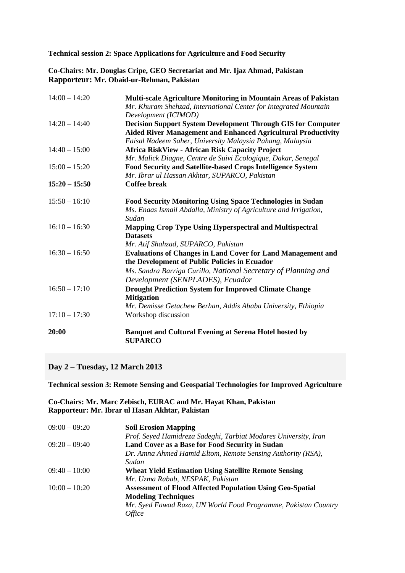**Technical session 2: Space Applications for Agriculture and Food Security**

**Co-Chairs: Mr. Douglas Cripe, GEO Secretariat and Mr. Ijaz Ahmad, Pakistan Rapporteur: Mr. Obaid-ur-Rehman, Pakistan**

| $14:00 - 14:20$ | Multi-scale Agriculture Monitoring in Mountain Areas of Pakistan<br>Mr. Khuram Shehzad, International Center for Integrated Mountain<br>Development (ICIMOD)                                                               |  |
|-----------------|----------------------------------------------------------------------------------------------------------------------------------------------------------------------------------------------------------------------------|--|
| $14:20 - 14:40$ | <b>Decision Support System Development Through GIS for Computer</b><br><b>Aided River Management and Enhanced Agricultural Productivity</b><br>Faisal Nadeem Saher, University Malaysia Pahang, Malaysia                   |  |
| $14:40 - 15:00$ | <b>Africa RiskView - African Risk Capacity Project</b><br>Mr. Malick Diagne, Centre de Suivi Ecologique, Dakar, Senegal                                                                                                    |  |
| $15:00 - 15:20$ | Food Security and Satellite-based Crops Intelligence System<br>Mr. Ibrar ul Hassan Akhtar, SUPARCO, Pakistan                                                                                                               |  |
| $15:20 - 15:50$ | <b>Coffee break</b>                                                                                                                                                                                                        |  |
| $15:50 - 16:10$ | <b>Food Security Monitoring Using Space Technologies in Sudan</b><br>Ms. Enaas Ismail Abdalla, Ministry of Agriculture and Irrigation,<br>Sudan                                                                            |  |
| $16:10 - 16:30$ | <b>Mapping Crop Type Using Hyperspectral and Multispectral</b><br><b>Datasets</b><br>Mr. Atif Shahzad, SUPARCO, Pakistan                                                                                                   |  |
| $16:30 - 16:50$ | <b>Evaluations of Changes in Land Cover for Land Management and</b><br>the Development of Public Policies in Ecuador<br>Ms. Sandra Barriga Curillo, National Secretary of Planning and<br>Development (SENPLADES), Ecuador |  |
| $16:50 - 17:10$ | <b>Drought Prediction System for Improved Climate Change</b><br><b>Mitigation</b><br>Mr. Demisse Getachew Berhan, Addis Ababa University, Ethiopia                                                                         |  |
| $17:10 - 17:30$ | Workshop discussion                                                                                                                                                                                                        |  |
| 20:00           | <b>Banquet and Cultural Evening at Serena Hotel hosted by</b><br><b>SUPARCO</b>                                                                                                                                            |  |

## **Day 2 – Tuesday, 12 March 2013**

**Technical session 3: Remote Sensing and Geospatial Technologies for Improved Agriculture**

## **Co-Chairs: Mr. Marc Zebisch, EURAC and Mr. Hayat Khan, Pakistan Rapporteur: Mr. Ibrar ul Hasan Akhtar, Pakistan**

| $09:00 - 09:20$ | <b>Soil Erosion Mapping</b>                                      |
|-----------------|------------------------------------------------------------------|
|                 | Prof. Seyed Hamidreza Sadeghi, Tarbiat Modares University, Iran  |
| $09:20 - 09:40$ | Land Cover as a Base for Food Security in Sudan                  |
|                 | Dr. Amna Ahmed Hamid Eltom, Remote Sensing Authority (RSA),      |
|                 | Sudan                                                            |
| $09:40 - 10:00$ | <b>Wheat Yield Estimation Using Satellite Remote Sensing</b>     |
|                 | Mr. Uzma Rabab, NESPAK, Pakistan                                 |
| $10:00 - 10:20$ | <b>Assessment of Flood Affected Population Using Geo-Spatial</b> |
|                 | <b>Modeling Techniques</b>                                       |
|                 | Mr. Syed Fawad Raza, UN World Food Programme, Pakistan Country   |
|                 | Office                                                           |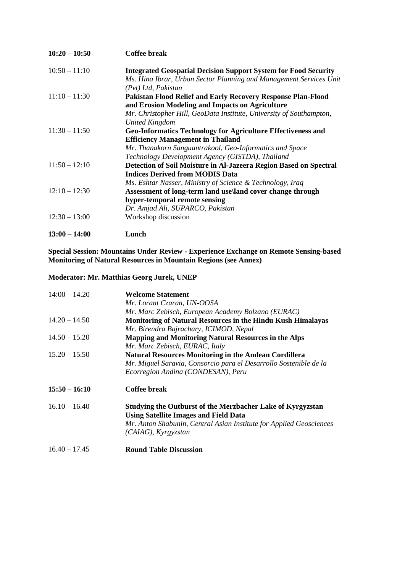| $10:20 - 10:50$ | <b>Coffee break</b>                                                                                                                          |  |
|-----------------|----------------------------------------------------------------------------------------------------------------------------------------------|--|
| $10:50 - 11:10$ | <b>Integrated Geospatial Decision Support System for Food Security</b><br>Ms. Hina Ibrar, Urban Sector Planning and Management Services Unit |  |
|                 | (Pvt) Ltd, Pakistan                                                                                                                          |  |
| $11:10 - 11:30$ | <b>Pakistan Flood Relief and Early Recovery Response Plan-Flood</b>                                                                          |  |
|                 | and Erosion Modeling and Impacts on Agriculture                                                                                              |  |
|                 | Mr. Christopher Hill, GeoData Institute, University of Southampton,                                                                          |  |
|                 | <b>United Kingdom</b>                                                                                                                        |  |
| $11:30 - 11:50$ | <b>Geo-Informatics Technology for Agriculture Effectiveness and</b>                                                                          |  |
|                 | <b>Efficiency Management in Thailand</b>                                                                                                     |  |
|                 | Mr. Thanakorn Sanguantrakool, Geo-Informatics and Space                                                                                      |  |
|                 | Technology Development Agency (GISTDA), Thailand                                                                                             |  |
| $11:50 - 12:10$ | Detection of Soil Moisture in Al-Jazeera Region Based on Spectral                                                                            |  |
|                 | <b>Indices Derived from MODIS Data</b>                                                                                                       |  |
|                 | Ms. Eshtar Nasser, Ministry of Science & Technology, Iraq                                                                                    |  |
| $12:10 - 12:30$ | Assessment of long-term land use\land cover change through                                                                                   |  |
|                 | hyper-temporal remote sensing                                                                                                                |  |
|                 | Dr. Amjad Ali, SUPARCO, Pakistan                                                                                                             |  |
| $12:30 - 13:00$ | Workshop discussion                                                                                                                          |  |
| $13:00 - 14:00$ | Lunch                                                                                                                                        |  |

**Special Session: Mountains Under Review - Experience Exchange on Remote Sensing-based Monitoring of Natural Resources in Mountain Regions (see Annex)**

# **Moderator: Mr. Matthias Georg Jurek, UNEP**

| $14:00 - 14.20$ | <b>Welcome Statement</b>                                            |  |
|-----------------|---------------------------------------------------------------------|--|
|                 | Mr. Lorant Czaran, UN-OOSA                                          |  |
|                 | Mr. Marc Zebisch, European Academy Bolzano (EURAC)                  |  |
| $14.20 - 14.50$ | Monitoring of Natural Resources in the Hindu Kush Himalayas         |  |
|                 | Mr. Birendra Bajrachary, ICIMOD, Nepal                              |  |
| $14.50 - 15.20$ | <b>Mapping and Monitoring Natural Resources in the Alps</b>         |  |
|                 | Mr. Marc Zebisch, EURAC, Italy                                      |  |
| $15.20 - 15.50$ | <b>Natural Resources Monitoring in the Andean Cordillera</b>        |  |
|                 | Mr. Miguel Saravia, Consorcio para el Desarrollo Sostenible de la   |  |
|                 | Ecorregion Andina (CONDESAN), Peru                                  |  |
| $15:50 - 16:10$ | Coffee break                                                        |  |
| $16.10 - 16.40$ | Studying the Outburst of the Merzbacher Lake of Kyrgyzstan          |  |
|                 | <b>Using Satellite Images and Field Data</b>                        |  |
|                 | Mr. Anton Shabunin, Central Asian Institute for Applied Geosciences |  |
|                 | $(CA IAG)$ , Kyrgyzstan                                             |  |
| $16.40 - 17.45$ | <b>Round Table Discussion</b>                                       |  |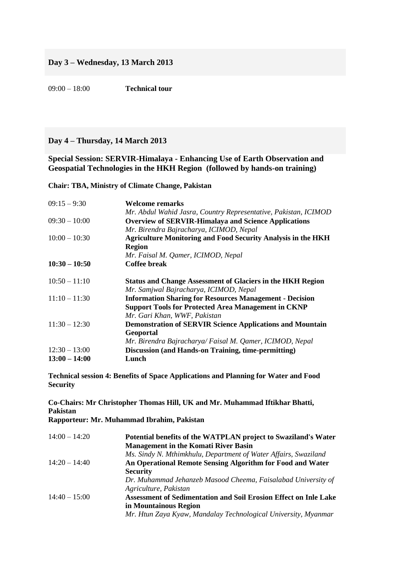09:00 – 18:00 **Technical tour** 

## **Day 4 – Thursday, 14 March 2013**

**Special Session: SERVIR-Himalaya - Enhancing Use of Earth Observation and Geospatial Technologies in the HKH Region (followed by hands-on training)**

**Chair: TBA, Ministry of Climate Change, Pakistan**

| $09:15 - 9:30$  | Welcome remarks                                                     |  |
|-----------------|---------------------------------------------------------------------|--|
|                 | Mr. Abdul Wahid Jasra, Country Representative, Pakistan, ICIMOD     |  |
| $09:30 - 10:00$ | <b>Overview of SERVIR-Himalaya and Science Applications</b>         |  |
|                 | Mr. Birendra Bajracharya, ICIMOD, Nepal                             |  |
| $10:00 - 10:30$ | <b>Agriculture Monitoring and Food Security Analysis in the HKH</b> |  |
|                 | <b>Region</b>                                                       |  |
|                 | Mr. Faisal M. Qamer, ICIMOD, Nepal                                  |  |
| $10:30 - 10:50$ | <b>Coffee break</b>                                                 |  |
| $10:50 - 11:10$ | <b>Status and Change Assessment of Glaciers in the HKH Region</b>   |  |
|                 | Mr. Samjwal Bajracharya, ICIMOD, Nepal                              |  |
| $11:10 - 11:30$ | <b>Information Sharing for Resources Management - Decision</b>      |  |
|                 | <b>Support Tools for Protected Area Management in CKNP</b>          |  |
|                 | Mr. Gari Khan, WWF, Pakistan                                        |  |
| $11:30 - 12:30$ | <b>Demonstration of SERVIR Science Applications and Mountain</b>    |  |
|                 | Geoportal                                                           |  |
|                 | Mr. Birendra Bajracharya/Faisal M. Qamer, ICIMOD, Nepal             |  |
| $12:30 - 13:00$ | <b>Discussion (and Hands-on Training, time-permitting)</b>          |  |
| $13:00 - 14:00$ | Lunch                                                               |  |

**Technical session 4: Benefits of Space Applications and Planning for Water and Food Security**

**Co-Chairs: Mr Christopher Thomas Hill, UK and Mr. Muhammad Iftikhar Bhatti, Pakistan**

**Rapporteur: Mr. Muhammad Ibrahim, Pakistan**

| $14:00 - 14:20$ | Potential benefits of the WATPLAN project to Swaziland's Water<br><b>Management in the Komati River Basin</b> |  |
|-----------------|---------------------------------------------------------------------------------------------------------------|--|
|                 | Ms. Sindy N. Mthimkhulu, Department of Water Affairs, Swaziland                                               |  |
| $14:20 - 14:40$ | An Operational Remote Sensing Algorithm for Food and Water                                                    |  |
|                 | <b>Security</b>                                                                                               |  |
|                 | Dr. Muhammad Jehanzeb Masood Cheema, Faisalabad University of                                                 |  |
|                 | Agriculture, Pakistan                                                                                         |  |
| $14:40 - 15:00$ | <b>Assessment of Sedimentation and Soil Erosion Effect on Inle Lake</b>                                       |  |
|                 | in Mountainous Region                                                                                         |  |
|                 | Mr. Htun Zaya Kyaw, Mandalay Technological University, Myanmar                                                |  |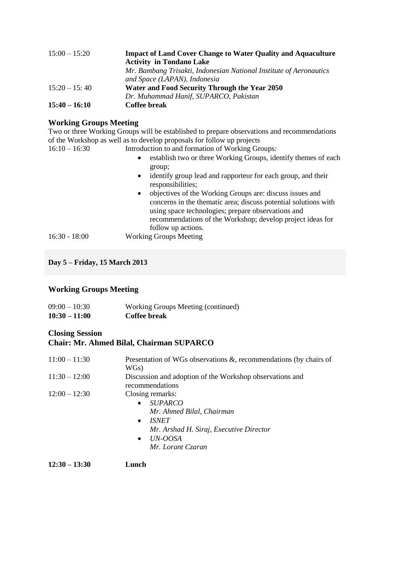| $15:00 - 15:20$ | <b>Impact of Land Cover Change to Water Quality and Aquaculture</b> |  |
|-----------------|---------------------------------------------------------------------|--|
|                 | <b>Activity in Tondano Lake</b>                                     |  |
|                 | Mr. Bambang Trisakti, Indonesian National Institute of Aeronautics  |  |
|                 | and Space (LAPAN), Indonesia                                        |  |
| $15:20 - 15:40$ | Water and Food Security Through the Year 2050                       |  |
|                 | Dr. Muhammad Hanif, SUPARCO, Pakistan                               |  |
| $15:40 - 16:10$ | Coffee break                                                        |  |

## **Working Groups Meeting**

Two or three Working Groups will be established to prepare observations and recommendations of the Workshop as well as to develop proposals for follow up projects 16:10 – 16:30 Introduction to and formation of Working Groups:

- establish two or three Working Groups, identify themes of each group;
	- identify group lead and rapporteur for each group, and their responsibilities;
- objectives of the Working Groups are: discuss issues and concerns in the thematic area; discuss potential solutions with using space technologies; prepare observations and recommendations of the Workshop; develop project ideas for follow up actions. 16:30 - 18:00 Working Groups Meeting

# **Day 5 – Friday, 15 March 2013**

## **Working Groups Meeting**

| $09:00 - 10:30$ | Working Groups Meeting (continued) |
|-----------------|------------------------------------|
| $10:30 - 11:00$ | Coffee break                       |

# **Closing Session**

# **Chair: Mr. Ahmed Bilal, Chairman SUPARCO**

| $11:00 - 11:30$ | Presentation of WGs observations $\&$ , recommendations (by chairs of |  |
|-----------------|-----------------------------------------------------------------------|--|
|                 | WGs)                                                                  |  |
| $11:30 - 12:00$ | Discussion and adoption of the Workshop observations and              |  |
|                 | recommendations                                                       |  |
| $12:00 - 12:30$ | Closing remarks:                                                      |  |
|                 | <i>SUPARCO</i><br>$\bullet$                                           |  |
|                 | Mr. Ahmed Bilal, Chairman                                             |  |
|                 | <i><b>ISNET</b></i><br>$\bullet$                                      |  |
|                 | Mr. Arshad H. Siraj, Executive Director                               |  |
|                 | UN-OOSA<br>$\bullet$                                                  |  |
|                 | Mr. Lorant Czaran                                                     |  |
|                 |                                                                       |  |

**12:30 – 13:30 Lunch**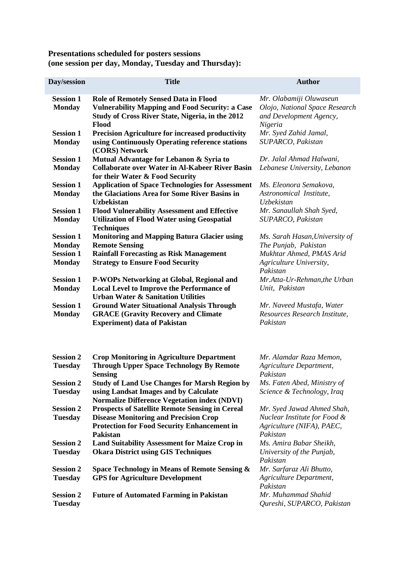## **Presentations scheduled for posters sessions (one session per day, Monday, Tuesday and Thursday):**

| <b>Day/session</b>                                    | <b>Title</b>                                                                                                                                                                    | <b>Author</b>                                                                                       |
|-------------------------------------------------------|---------------------------------------------------------------------------------------------------------------------------------------------------------------------------------|-----------------------------------------------------------------------------------------------------|
| <b>Session 1</b><br><b>Monday</b>                     | <b>Role of Remotely Sensed Data in Flood</b><br><b>Vulnerability Mapping and Food Security: a Case</b><br>Study of Cross River State, Nigeria, in the 2012<br>Flood             | Mr. Olabamiji Oluwaseun<br>Olojo, National Space Research<br>and Development Agency,<br>Nigeria     |
| <b>Session 1</b><br><b>Monday</b>                     | <b>Precision Agriculture for increased productivity</b><br>using Continuously Operating reference stations<br>(CORS) Network                                                    | Mr. Syed Zahid Jamal,<br>SUPARCO, Pakistan                                                          |
| <b>Session 1</b><br><b>Monday</b>                     | Mutual Advantage for Lebanon & Syria to<br><b>Collaborate over Water in Al-Kabeer River Basin</b><br>for their Water & Food Security                                            | Dr. Jalal Ahmad Halwani,<br>Lebanese University, Lebanon                                            |
| <b>Session 1</b><br><b>Monday</b>                     | <b>Application of Space Technologies for Assessment</b><br>the Glaciations Area for Some River Basins in<br><b>Uzbekistan</b>                                                   | Ms. Eleonora Semakova,<br>Astronomical Institute,<br><b>Uzbekistan</b>                              |
| <b>Session 1</b><br><b>Monday</b>                     | <b>Flood Vulnerability Assessment and Effective</b><br><b>Utilization of Flood Water using Geospatial</b><br><b>Techniques</b>                                                  | Mr. Sanaullah Shah Syed,<br>SUPARCO, Pakistan                                                       |
| <b>Session 1</b><br><b>Monday</b><br><b>Session 1</b> | <b>Monitoring and Mapping Batura Glacier using</b><br><b>Remote Sensing</b><br><b>Rainfall Forecasting as Risk Management</b>                                                   | Ms. Sarah Hasan, University of<br>The Punjab, Pakistan<br>Mukhtar Ahmed, PMAS Arid                  |
| <b>Monday</b>                                         | <b>Strategy to Ensure Food Security</b>                                                                                                                                         | Agriculture University,<br>Pakistan                                                                 |
| <b>Session 1</b><br><b>Monday</b>                     | P-WOPs Networking at Global, Regional and<br><b>Local Level to Improve the Performance of</b><br><b>Urban Water &amp; Sanitation Utilities</b>                                  | Mr.Atta-Ur-Rehman, the Urban<br>Unit, Pakistan                                                      |
| <b>Session 1</b><br><b>Monday</b>                     | <b>Ground Water Situational Analysis Through</b><br><b>GRACE (Gravity Recovery and Climate</b><br><b>Experiment)</b> data of Pakistan                                           | Mr. Naveed Mustafa, Water<br>Resources Research Institute,<br>Pakistan                              |
| <b>Session 2</b><br><b>Tuesday</b>                    | <b>Crop Monitoring in Agriculture Department</b><br><b>Through Upper Space Technology By Remote</b><br><b>Sensing</b>                                                           | Mr. Alamdar Raza Memon,<br>Agriculture Department,<br>Pakistan                                      |
| <b>Session 2</b><br><b>Tuesday</b>                    | <b>Study of Land Use Changes for Marsh Region by</b><br>using Landsat Images and by Calculate<br><b>Normalize Difference Vegetation index (NDVI)</b>                            | Ms. Faten Abed, Ministry of<br>Science & Technology, Iraq                                           |
| <b>Session 2</b><br><b>Tuesday</b>                    | <b>Prospects of Satellite Remote Sensing in Cereal</b><br><b>Disease Monitoring and Precision Crop</b><br><b>Protection for Food Security Enhancement in</b><br><b>Pakistan</b> | Mr. Syed Jawad Ahmed Shah,<br>Nuclear Institute for Food &<br>Agriculture (NIFA), PAEC,<br>Pakistan |
| <b>Session 2</b><br><b>Tuesday</b>                    | <b>Land Suitability Assessment for Maize Crop in</b><br><b>Okara District using GIS Techniques</b>                                                                              | Ms. Amira Babar Sheikh,<br>University of the Punjab,<br>Pakistan                                    |
| <b>Session 2</b><br><b>Tuesday</b>                    | Space Technology in Means of Remote Sensing &<br><b>GPS for Agriculture Development</b>                                                                                         | Mr. Sarfaraz Ali Bhutto,<br>Agriculture Department,<br>Pakistan                                     |
| <b>Session 2</b><br><b>Tuesday</b>                    | <b>Future of Automated Farming in Pakistan</b>                                                                                                                                  | Mr. Muhammad Shahid<br>Qureshi, SUPARCO, Pakistan                                                   |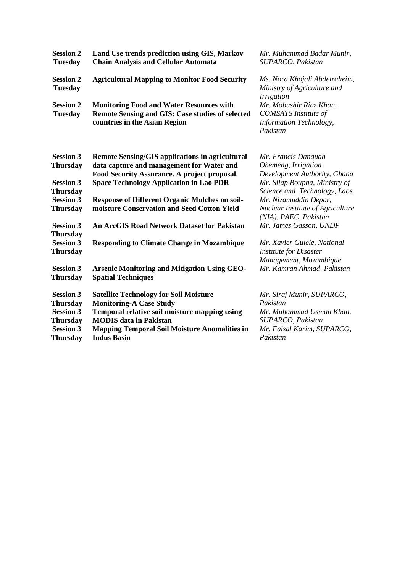| <b>Session 2</b><br><b>Tuesday</b>                      | Land Use trends prediction using GIS, Markov<br><b>Chain Analysis and Cellular Automata</b>                                                 | Mr. Muhammad Badar Munir,<br>SUPARCO, Pakistan                                                       |
|---------------------------------------------------------|---------------------------------------------------------------------------------------------------------------------------------------------|------------------------------------------------------------------------------------------------------|
| <b>Session 2</b><br><b>Tuesday</b>                      | <b>Agricultural Mapping to Monitor Food Security</b>                                                                                        | Ms. Nora Khojali Abdelraheim,<br>Ministry of Agriculture and<br><i>Irrigation</i>                    |
| <b>Session 2</b><br><b>Tuesday</b>                      | <b>Monitoring Food and Water Resources with</b><br><b>Remote Sensing and GIS: Case studies of selected</b><br>countries in the Asian Region | Mr. Mobushir Riaz Khan,<br><b>COMSATS</b> Institute of<br><b>Information Technology,</b><br>Pakistan |
| <b>Session 3</b>                                        | <b>Remote Sensing/GIS applications in agricultural</b>                                                                                      | Mr. Francis Danquah                                                                                  |
| <b>Thursday</b>                                         | data capture and management for Water and<br>Food Security Assurance. A project proposal.                                                   | Ohemeng, Irrigation<br>Development Authority, Ghana                                                  |
| <b>Session 3</b><br><b>Thursday</b>                     | <b>Space Technology Application in Lao PDR</b>                                                                                              | Mr. Silap Boupha, Ministry of<br>Science and Technology, Laos                                        |
| <b>Session 3</b><br><b>Thursday</b>                     | <b>Response of Different Organic Mulches on soil-</b><br>moisture Conservation and Seed Cotton Yield                                        | Mr. Nizamuddin Depar,<br>Nuclear Institute of Agriculture<br>(NIA), PAEC, Pakistan                   |
| <b>Session 3</b><br><b>Thursday</b>                     | <b>An ArcGIS Road Network Dataset for Pakistan</b>                                                                                          | Mr. James Gasson, UNDP                                                                               |
| <b>Session 3</b><br><b>Thursday</b>                     | <b>Responding to Climate Change in Mozambique</b>                                                                                           | Mr. Xavier Gulele, National<br><b>Institute for Disaster</b><br>Management, Mozambique               |
| <b>Session 3</b><br><b>Thursday</b>                     | <b>Arsenic Monitoring and Mitigation Using GEO-</b><br><b>Spatial Techniques</b>                                                            | Mr. Kamran Ahmad, Pakistan                                                                           |
| <b>Session 3</b><br><b>Thursday</b>                     | <b>Satellite Technology for Soil Moisture</b><br><b>Monitoring-A Case Study</b>                                                             | Mr. Siraj Munir, SUPARCO,<br>Pakistan                                                                |
| <b>Session 3</b><br><b>Thursday</b><br><b>Session 3</b> | Temporal relative soil moisture mapping using<br><b>MODIS</b> data in Pakistan<br><b>Mapping Temporal Soil Moisture Anomalities in</b>      | Mr. Muhammad Usman Khan,<br>SUPARCO, Pakistan<br>Mr. Faisal Karim, SUPARCO,                          |
| <b>Thursday</b>                                         | <b>Indus Basin</b>                                                                                                                          | Pakistan                                                                                             |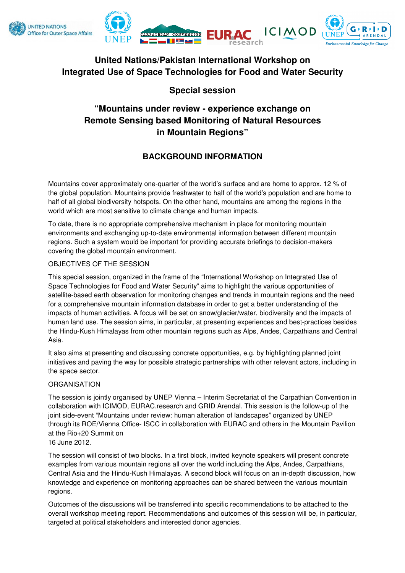



# **United Nations/Pakistan International Workshop on Integrated Use of Space Technologies for Food and Water Security**

# **Special session**

# **"Mountains under review - experience exchange on Remote Sensing based Monitoring of Natural Resources in Mountain Regions"**

# **BACKGROUND INFORMATION**

Mountains cover approximately one-quarter of the world's surface and are home to approx. 12 % of the global population. Mountains provide freshwater to half of the world's population and are home to half of all global biodiversity hotspots. On the other hand, mountains are among the regions in the world which are most sensitive to climate change and human impacts.

To date, there is no appropriate comprehensive mechanism in place for monitoring mountain environments and exchanging up-to-date environmental information between different mountain regions. Such a system would be important for providing accurate briefings to decision-makers covering the global mountain environment.

## OBJECTIVES OF THE SESSION

This special session, organized in the frame of the "International Workshop on Integrated Use of Space Technologies for Food and Water Security" aims to highlight the various opportunities of satellite-based earth observation for monitoring changes and trends in mountain regions and the need for a comprehensive mountain information database in order to get a better understanding of the impacts of human activities. A focus will be set on snow/glacier/water, biodiversity and the impacts of human land use. The session aims, in particular, at presenting experiences and best-practices besides the Hindu-Kush Himalayas from other mountain regions such as Alps, Andes, Carpathians and Central Asia.

It also aims at presenting and discussing concrete opportunities, e.g. by highlighting planned joint initiatives and paving the way for possible strategic partnerships with other relevant actors, including in the space sector.

## **ORGANISATION**

The session is jointly organised by UNEP Vienna – Interim Secretariat of the Carpathian Convention in collaboration with ICIMOD, EURAC.research and GRID Arendal. This session is the follow-up of the joint side-event "Mountains under review: human alteration of landscapes" organized by UNEP through its ROE/Vienna Office- ISCC in collaboration with EURAC and others in the Mountain Pavilion at the Rio+20 Summit on

# 16 June 2012.

The session will consist of two blocks. In a first block, invited keynote speakers will present concrete examples from various mountain regions all over the world including the Alps, Andes, Carpathians, Central Asia and the Hindu-Kush Himalayas. A second block will focus on an in-depth discussion, how knowledge and experience on monitoring approaches can be shared between the various mountain regions.

Outcomes of the discussions will be transferred into specific recommendations to be attached to the overall workshop meeting report. Recommendations and outcomes of this session will be, in particular, targeted at political stakeholders and interested donor agencies.